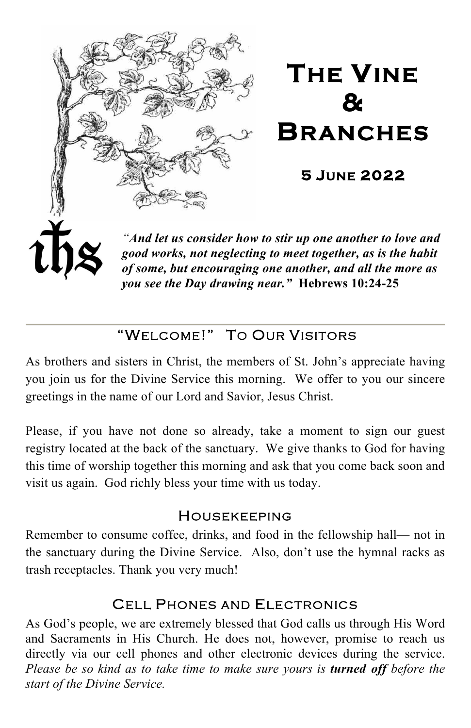

# "WELCOME!" TO OUR VISITORS

As brothers and sisters in Christ, the members of St. John's appreciate having you join us for the Divine Service this morning. We offer to you our sincere greetings in the name of our Lord and Savior, Jesus Christ.

Please, if you have not done so already, take a moment to sign our guest registry located at the back of the sanctuary. We give thanks to God for having this time of worship together this morning and ask that you come back soon and visit us again. God richly bless your time with us today.

#### HOUSEKEEPING

Remember to consume coffee, drinks, and food in the fellowship hall— not in the sanctuary during the Divine Service. Also, don't use the hymnal racks as trash receptacles. Thank you very much!

# CELL PHONES AND ELECTRONICS

As God's people, we are extremely blessed that God calls us through His Word and Sacraments in His Church. He does not, however, promise to reach us directly via our cell phones and other electronic devices during the service. *Please be so kind as to take time to make sure yours is turned off before the start of the Divine Service.*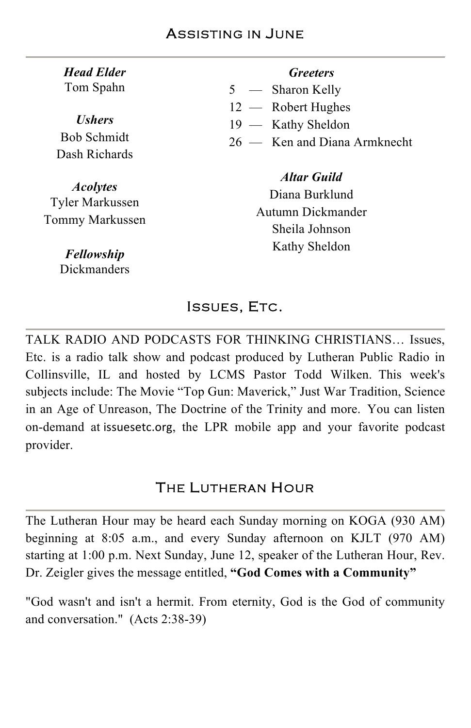| <b>Head Elder</b> |
|-------------------|
| Tom Spahn         |

*Ushers* Bob Schmidt Dash Richards

*Acolytes*  Tyler Markussen Tommy Markussen

> *Fellowship* Dickmanders

#### *Greeters*

- 5 Sharon Kelly
- 12 Robert Hughes
- 19 Kathy Sheldon
- 26 Ken and Diana Armknecht

#### *Altar Guild*

Diana Burklund Autumn Dickmander Sheila Johnson Kathy Sheldon

#### ISSUES, ETC.

TALK RADIO AND PODCASTS FOR THINKING CHRISTIANS… Issues, Etc. is a radio talk show and podcast produced by Lutheran Public Radio in Collinsville, IL and hosted by LCMS Pastor Todd Wilken. This week's subjects include: The Movie "Top Gun: Maverick," Just War Tradition, Science in an Age of Unreason, The Doctrine of the Trinity and more. You can listen on-demand at issuesetc.org, the LPR mobile app and your favorite podcast provider.

# THE LUTHERAN HOUR

The Lutheran Hour may be heard each Sunday morning on KOGA (930 AM) beginning at 8:05 a.m., and every Sunday afternoon on KJLT (970 AM) starting at 1:00 p.m. Next Sunday, June 12, speaker of the Lutheran Hour, Rev. Dr. Zeigler gives the message entitled, **"God Comes with a Community"**

"God wasn't and isn't a hermit. From eternity, God is the God of community and conversation." (Acts 2:38-39)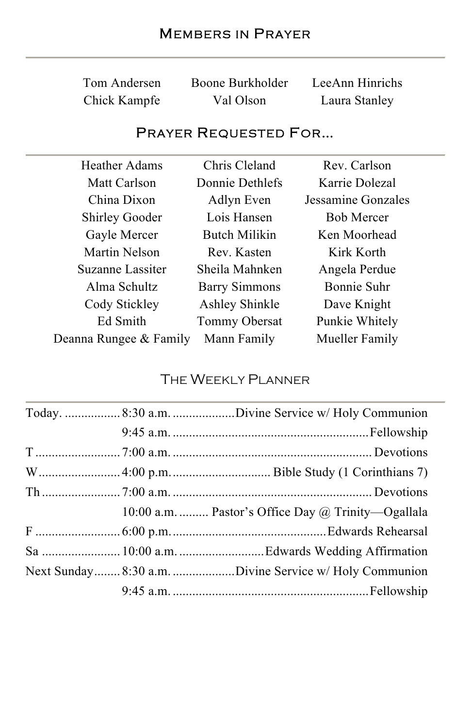| Tom Andersen | Boone Burkholder | LeeAnn Hinrichs |
|--------------|------------------|-----------------|
| Chick Kampfe | Val Olson        | Laura Stanley   |

# PRAYER REQUESTED FOR…

| Heather Adams          | Chris Cleland        | Rev. Carlson       |
|------------------------|----------------------|--------------------|
| Matt Carlson           | Donnie Dethlefs      | Karrie Dolezal     |
| China Dixon            | Adlyn Even           | Jessamine Gonzales |
| <b>Shirley Gooder</b>  | Lois Hansen          | <b>Bob Mercer</b>  |
| Gayle Mercer           | Butch Milikin        | Ken Moorhead       |
| Martin Nelson          | Rev. Kasten          | Kirk Korth         |
| Suzanne Lassiter       | Sheila Mahnken       | Angela Perdue      |
| Alma Schultz           | <b>Barry Simmons</b> | Bonnie Suhr        |
| Cody Stickley          | Ashley Shinkle       | Dave Knight        |
| Ed Smith               | Tommy Obersat        | Punkie Whitely     |
| Deanna Rungee & Family | Mann Family          | Mueller Family     |

# THE WEEKLY PLANNER

|  | Today. 8:30 a.m. Divine Service w/ Holy Communion         |
|--|-----------------------------------------------------------|
|  |                                                           |
|  |                                                           |
|  |                                                           |
|  |                                                           |
|  | 10:00 a.m.  Pastor's Office Day $\omega$ Trinity—Ogallala |
|  |                                                           |
|  |                                                           |
|  | Next Sunday 8:30 a.m. Divine Service w/ Holy Communion    |
|  |                                                           |